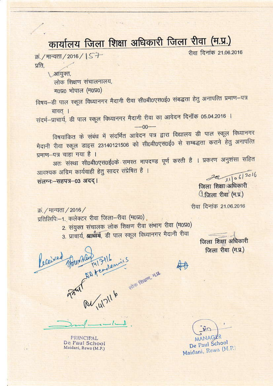## कार्यालय जिला शिक्षा अधिकारी जिला रीवा (म.प्र.)

क्रं / मान्यता / 2016 / S T प्रति.

> 1 आयुक्त, लोक शिक्षण संचालनालय, **म0प्र0 भोपाल (म0प्र0)**

विषय-डी पाल स्कूल विध्यानगर मैदानी रीवा सी0बी0एस0ई0 संबद्धता हेतु अनापत्ति प्रमाण-पत्र बावत ।

संदर्भ-प्राचार्य, डी पाल स्कूल विध्यानगर मैदानी रीवा का आवेदन दिनॉक 05.04.2016 ।

विषयांकित के संबंध में संदर्भित आवेदन पत्र द्वारा विद्यालय डी पाल स्कूल विध्यानगर मैदानी रीवा स्कूल डाइस 23140121506 को सी0बी0एस0ई0 से सम्बद्धता कराने हेतु अनापत्ति प्रमाण-पत्र चाहा गया है ।

 $-00-$ 

अतः संस्था सी0बी0एस0ई0के समस्त मापदण्ड पूर्ण करती है । प्रकरण अनुशंसा सहित आवश्यक अग्रिम कार्यवाही हेतु सादर संप्रेषित है ।

संलग्नः-सहपत्र-03 अदद।

 $22/106/2016$ 

जिला शिक्षा अधिकारी <u> ीजिला</u> रीवा (म.प्र.)

रीवा दिनांक 21.06.2016

रीवा दिनांक 21.06.2016

क्र. / मान्यता / 2016 /

प्रतिलिपिः-1. कलेक्टर रीवा जिला-रीवा (म0प्र0)

2. संयुक्त संचालक लोक शिक्षण रीवा संभाग रीवा (म0प्र0)

3. प्राचार्य, ख्राब्बार्य, डी पाल स्कूल विध्यानगर मैदानी रीवा

Total Manufacture State of The Communist<br>Protection of The Communist<br>Protection of The Communistics

जिला शिक्षा अधिकारी जिला रीवा (म.प्र.)

**PRINCIPAL** De Paul School Maidani, Rewa (M.P.)

 $AGI$ 

De Paul School Maidani, Rewa (M.P.)